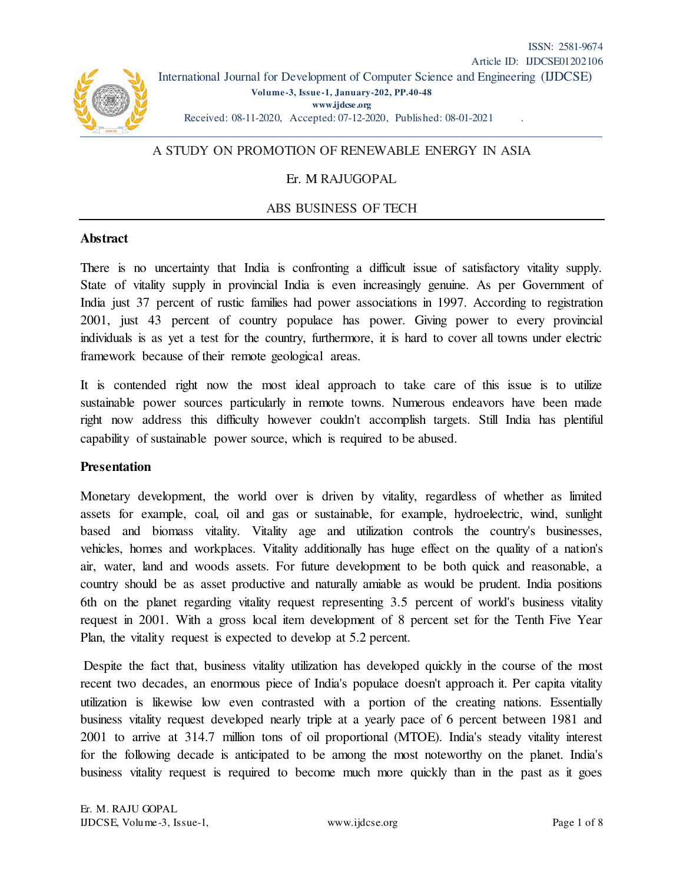

# A STUDY ON PROMOTION OF RENEWABLE ENERGY IN ASIA

## Er. M RAJUGOPAL

## ABS BUSINESS OF TECH

### **Abstract**

There is no uncertainty that India is confronting a difficult issue of satisfactory vitality supply. State of vitality supply in provincial India is even increasingly genuine. As per Government of India just 37 percent of rustic families had power associations in 1997. According to registration 2001, just 43 percent of country populace has power. Giving power to every provincial individuals is as yet a test for the country, furthermore, it is hard to cover all towns under electric framework because of their remote geological areas.

It is contended right now the most ideal approach to take care of this issue is to utilize sustainable power sources particularly in remote towns. Numerous endeavors have been made right now address this difficulty however couldn't accomplish targets. Still India has plentiful capability of sustainable power source, which is required to be abused.

### **Presentation**

Monetary development, the world over is driven by vitality, regardless of whether as limited assets for example, coal, oil and gas or sustainable, for example, hydroelectric, wind, sunlight based and biomass vitality. Vitality age and utilization controls the country's businesses, vehicles, homes and workplaces. Vitality additionally has huge effect on the quality of a nation's air, water, land and woods assets. For future development to be both quick and reasonable, a country should be as asset productive and naturally amiable as would be prudent. India positions 6th on the planet regarding vitality request representing 3.5 percent of world's business vitality request in 2001. With a gross local item development of 8 percent set for the Tenth Five Year Plan, the vitality request is expected to develop at 5.2 percent.

 Despite the fact that, business vitality utilization has developed quickly in the course of the most recent two decades, an enormous piece of India's populace doesn't approach it. Per capita vitality utilization is likewise low even contrasted with a portion of the creating nations. Essentially business vitality request developed nearly triple at a yearly pace of 6 percent between 1981 and 2001 to arrive at 314.7 million tons of oil proportional (MTOE). India's steady vitality interest for the following decade is anticipated to be among the most noteworthy on the planet. India's business vitality request is required to become much more quickly than in the past as it goes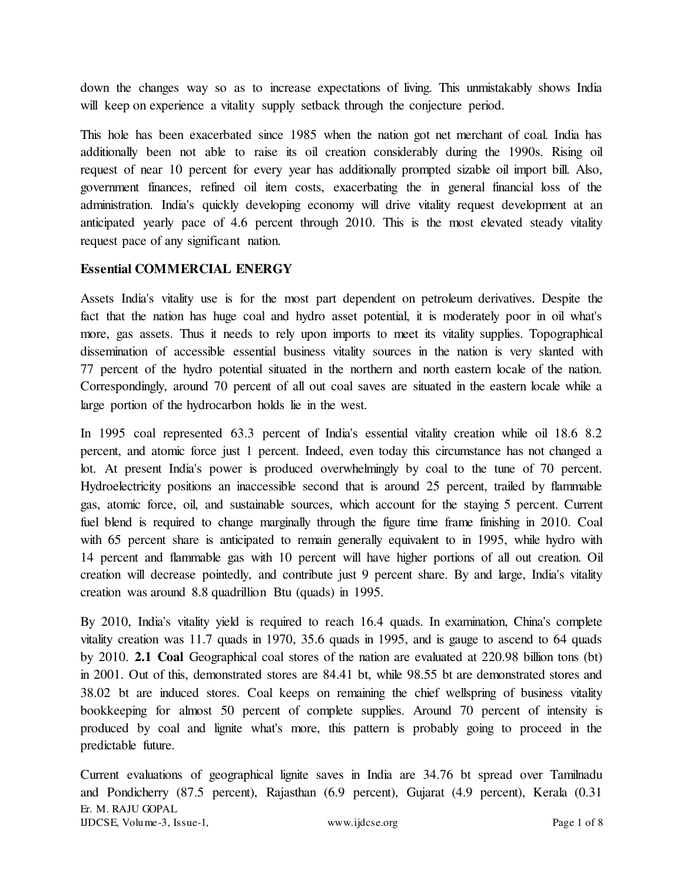down the changes way so as to increase expectations of living. This unmistakably shows India will keep on experience a vitality supply setback through the conjecture period.

This hole has been exacerbated since 1985 when the nation got net merchant of coal. India has additionally been not able to raise its oil creation considerably during the 1990s. Rising oil request of near 10 percent for every year has additionally prompted sizable oil import bill. Also, government finances, refined oil item costs, exacerbating the in general financial loss of the administration. India's quickly developing economy will drive vitality request development at an anticipated yearly pace of 4.6 percent through 2010. This is the most elevated steady vitality request pace of any significant nation.

# **Essential COMMERCIAL ENERGY**

Assets India's vitality use is for the most part dependent on petroleum derivatives. Despite the fact that the nation has huge coal and hydro asset potential, it is moderately poor in oil what's more, gas assets. Thus it needs to rely upon imports to meet its vitality supplies. Topographical dissemination of accessible essential business vitality sources in the nation is very slanted with 77 percent of the hydro potential situated in the northern and north eastern locale of the nation. Correspondingly, around 70 percent of all out coal saves are situated in the eastern locale while a large portion of the hydrocarbon holds lie in the west.

In 1995 coal represented 63.3 percent of India's essential vitality creation while oil 18.6 8.2 percent, and atomic force just 1 percent. Indeed, even today this circumstance has not changed a lot. At present India's power is produced overwhelmingly by coal to the tune of 70 percent. Hydroelectricity positions an inaccessible second that is around 25 percent, trailed by flammable gas, atomic force, oil, and sustainable sources, which account for the staying 5 percent. Current fuel blend is required to change marginally through the figure time frame finishing in 2010. Coal with 65 percent share is anticipated to remain generally equivalent to in 1995, while hydro with 14 percent and flammable gas with 10 percent will have higher portions of all out creation. Oil creation will decrease pointedly, and contribute just 9 percent share. By and large, India's vitality creation was around 8.8 quadrillion Btu (quads) in 1995.

By 2010, India's vitality yield is required to reach 16.4 quads. In examination, China's complete vitality creation was 11.7 quads in 1970, 35.6 quads in 1995, and is gauge to ascend to 64 quads by 2010. **2.1 Coal** Geographical coal stores of the nation are evaluated at 220.98 billion tons (bt) in 2001. Out of this, demonstrated stores are 84.41 bt, while 98.55 bt are demonstrated stores and 38.02 bt are induced stores. Coal keeps on remaining the chief wellspring of business vitality bookkeeping for almost 50 percent of complete supplies. Around 70 percent of intensity is produced by coal and lignite what's more, this pattern is probably going to proceed in the predictable future.

Er. M. RAJU GOPAL IJDCSE, Volume-3, Issue-1, www.ijdcse.org Page 1 of 8 Current evaluations of geographical lignite saves in India are 34.76 bt spread over Tamilnadu and Pondicherry (87.5 percent), Rajasthan (6.9 percent), Gujarat (4.9 percent), Kerala (0.31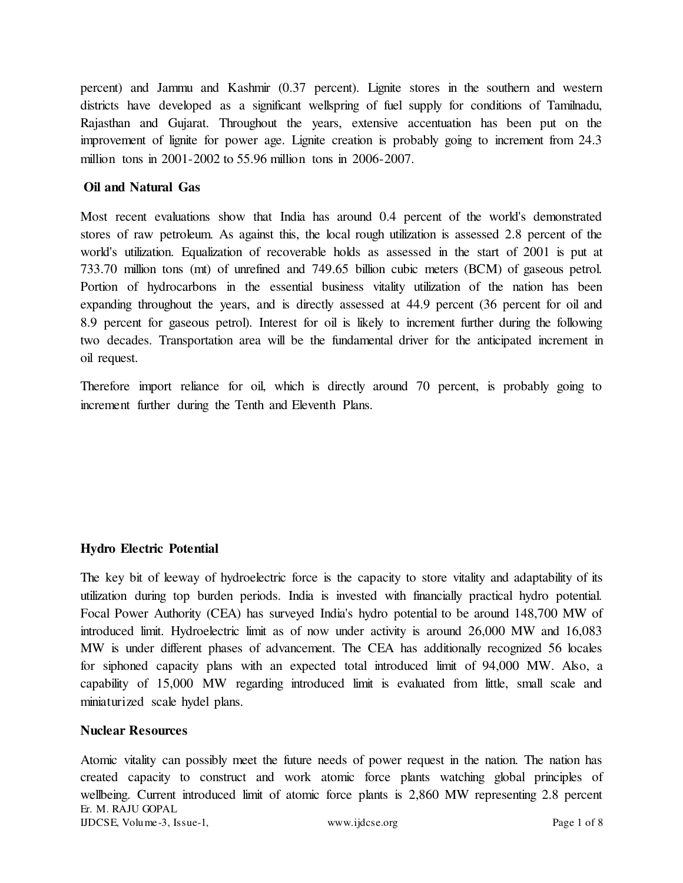percent) and Jammu and Kashmir (0.37 percent). Lignite stores in the southern and western districts have developed as a significant wellspring of fuel supply for conditions of Tamilnadu, Rajasthan and Gujarat. Throughout the years, extensive accentuation has been put on the improvement of lignite for power age. Lignite creation is probably going to increment from 24.3 million tons in 2001-2002 to 55.96 million tons in 2006-2007.

### **Oil and Natural Gas**

Most recent evaluations show that India has around 0.4 percent of the world's demonstrated stores of raw petroleum. As against this, the local rough utilization is assessed 2.8 percent of the world's utilization. Equalization of recoverable holds as assessed in the start of 2001 is put at 733.70 million tons (mt) of unrefined and 749.65 billion cubic meters (BCM) of gaseous petrol. Portion of hydrocarbons in the essential business vitality utilization of the nation has been expanding throughout the years, and is directly assessed at 44.9 percent (36 percent for oil and 8.9 percent for gaseous petrol). Interest for oil is likely to increment further during the following two decades. Transportation area will be the fundamental driver for the anticipated increment in oil request.

Therefore import reliance for oil, which is directly around 70 percent, is probably going to increment further during the Tenth and Eleventh Plans.

## **Hydro Electric Potential**

The key bit of leeway of hydroelectric force is the capacity to store vitality and adaptability of its utilization during top burden periods. India is invested with financially practical hydro potential. Focal Power Authority (CEA) has surveyed India's hydro potential to be around 148,700 MW of introduced limit. Hydroelectric limit as of now under activity is around 26,000 MW and 16,083 MW is under different phases of advancement. The CEA has additionally recognized 56 locales for siphoned capacity plans with an expected total introduced limit of 94,000 MW. Also, a capability of 15,000 MW regarding introduced limit is evaluated from little, small scale and miniaturized scale hydel plans.

### **Nuclear Resources**

Er. M. RAJU GOPAL IJDCSE, Volume-3, Issue-1, www.ijdcse.org Page 1 of 8 Atomic vitality can possibly meet the future needs of power request in the nation. The nation has created capacity to construct and work atomic force plants watching global principles of wellbeing. Current introduced limit of atomic force plants is 2,860 MW representing 2.8 percent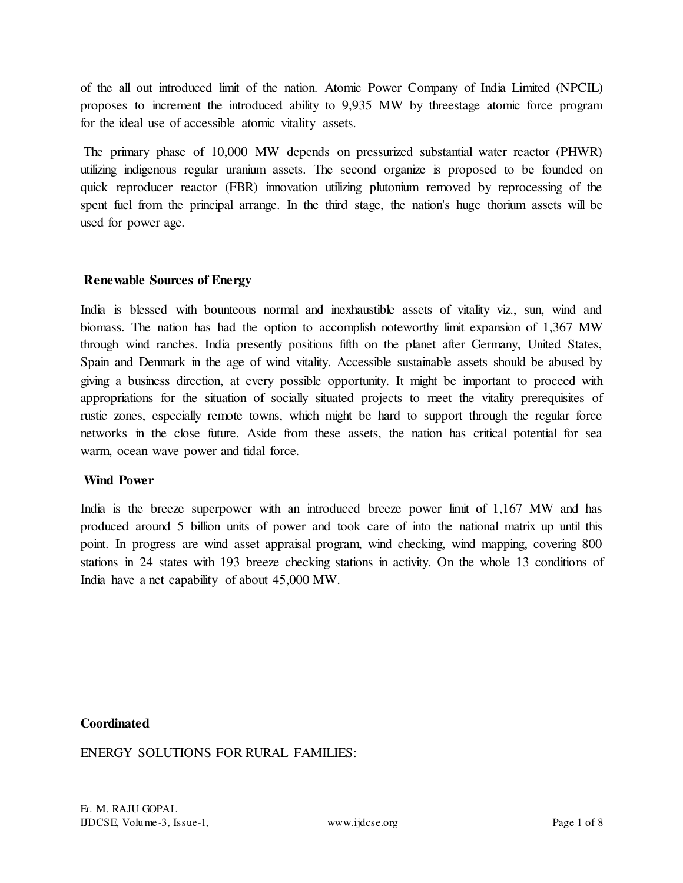of the all out introduced limit of the nation. Atomic Power Company of India Limited (NPCIL) proposes to increment the introduced ability to 9,935 MW by threestage atomic force program for the ideal use of accessible atomic vitality assets.

 The primary phase of 10,000 MW depends on pressurized substantial water reactor (PHWR) utilizing indigenous regular uranium assets. The second organize is proposed to be founded on quick reproducer reactor (FBR) innovation utilizing plutonium removed by reprocessing of the spent fuel from the principal arrange. In the third stage, the nation's huge thorium assets will be used for power age.

## **Renewable Sources of Energy**

India is blessed with bounteous normal and inexhaustible assets of vitality viz., sun, wind and biomass. The nation has had the option to accomplish noteworthy limit expansion of 1,367 MW through wind ranches. India presently positions fifth on the planet after Germany, United States, Spain and Denmark in the age of wind vitality. Accessible sustainable assets should be abused by giving a business direction, at every possible opportunity. It might be important to proceed with appropriations for the situation of socially situated projects to meet the vitality prerequisites of rustic zones, especially remote towns, which might be hard to support through the regular force networks in the close future. Aside from these assets, the nation has critical potential for sea warm, ocean wave power and tidal force.

# **Wind Power**

India is the breeze superpower with an introduced breeze power limit of 1,167 MW and has produced around 5 billion units of power and took care of into the national matrix up until this point. In progress are wind asset appraisal program, wind checking, wind mapping, covering 800 stations in 24 states with 193 breeze checking stations in activity. On the whole 13 conditions of India have a net capability of about 45,000 MW.

## **Coordinated**

# ENERGY SOLUTIONS FOR RURAL FAMILIES: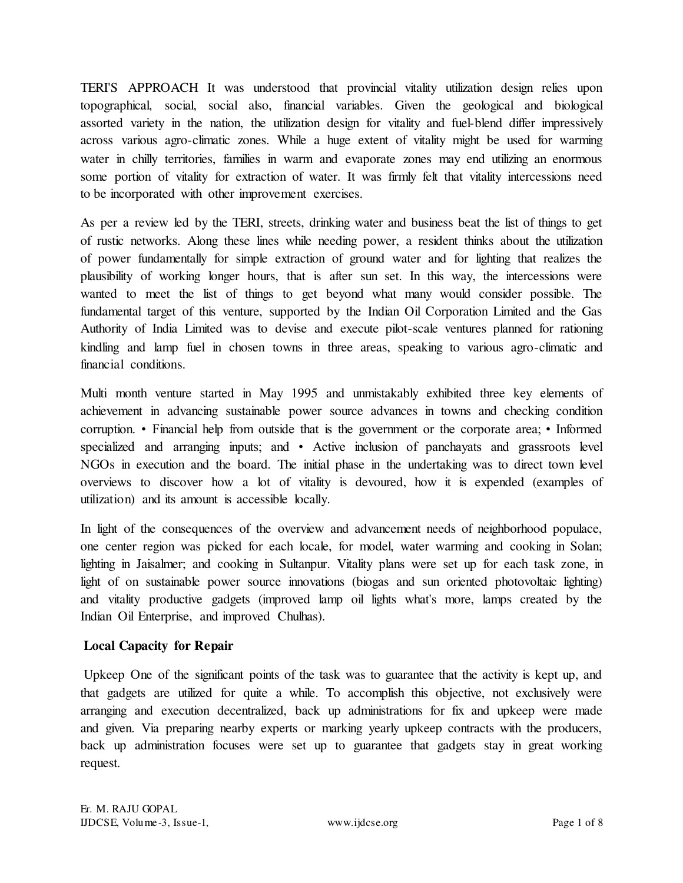TERI'S APPROACH It was understood that provincial vitality utilization design relies upon topographical, social, social also, financial variables. Given the geological and biological assorted variety in the nation, the utilization design for vitality and fuel-blend differ impressively across various agro-climatic zones. While a huge extent of vitality might be used for warming water in chilly territories, families in warm and evaporate zones may end utilizing an enormous some portion of vitality for extraction of water. It was firmly felt that vitality intercessions need to be incorporated with other improvement exercises.

As per a review led by the TERI, streets, drinking water and business beat the list of things to get of rustic networks. Along these lines while needing power, a resident thinks about the utilization of power fundamentally for simple extraction of ground water and for lighting that realizes the plausibility of working longer hours, that is after sun set. In this way, the intercessions were wanted to meet the list of things to get beyond what many would consider possible. The fundamental target of this venture, supported by the Indian Oil Corporation Limited and the Gas Authority of India Limited was to devise and execute pilot-scale ventures planned for rationing kindling and lamp fuel in chosen towns in three areas, speaking to various agro-climatic and financial conditions.

Multi month venture started in May 1995 and unmistakably exhibited three key elements of achievement in advancing sustainable power source advances in towns and checking condition corruption. • Financial help from outside that is the government or the corporate area; • Informed specialized and arranging inputs; and • Active inclusion of panchayats and grassroots level NGOs in execution and the board. The initial phase in the undertaking was to direct town level overviews to discover how a lot of vitality is devoured, how it is expended (examples of utilization) and its amount is accessible locally.

In light of the consequences of the overview and advancement needs of neighborhood populace, one center region was picked for each locale, for model, water warming and cooking in Solan; lighting in Jaisalmer; and cooking in Sultanpur. Vitality plans were set up for each task zone, in light of on sustainable power source innovations (biogas and sun oriented photovoltaic lighting) and vitality productive gadgets (improved lamp oil lights what's more, lamps created by the Indian Oil Enterprise, and improved Chulhas).

# **Local Capacity for Repair**

Upkeep One of the significant points of the task was to guarantee that the activity is kept up, and that gadgets are utilized for quite a while. To accomplish this objective, not exclusively were arranging and execution decentralized, back up administrations for fix and upkeep were made and given. Via preparing nearby experts or marking yearly upkeep contracts with the producers, back up administration focuses were set up to guarantee that gadgets stay in great working request.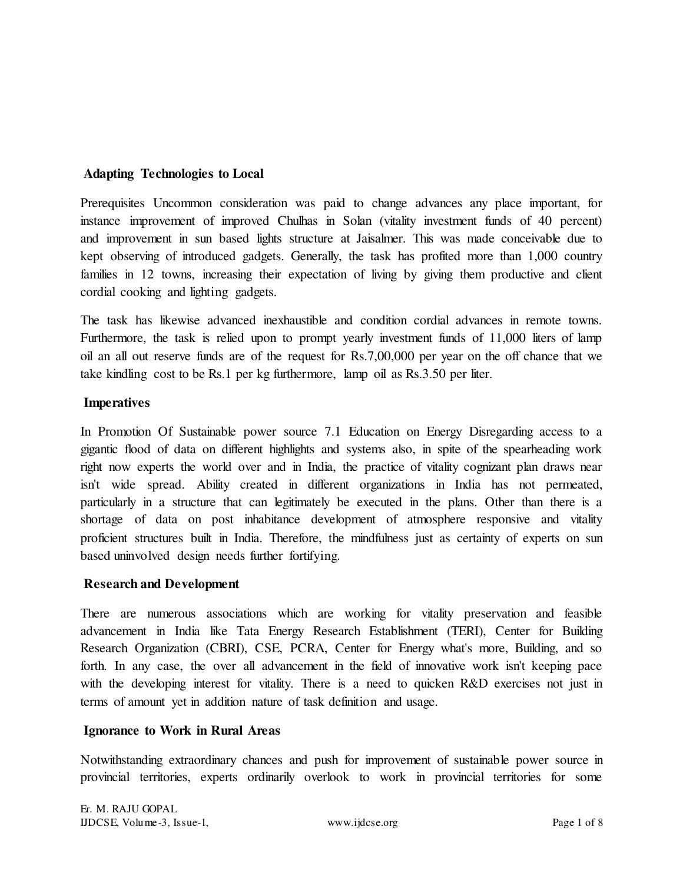## **Adapting Technologies to Local**

Prerequisites Uncommon consideration was paid to change advances any place important, for instance improvement of improved Chulhas in Solan (vitality investment funds of 40 percent) and improvement in sun based lights structure at Jaisalmer. This was made conceivable due to kept observing of introduced gadgets. Generally, the task has profited more than 1,000 country families in 12 towns, increasing their expectation of living by giving them productive and client cordial cooking and lighting gadgets.

The task has likewise advanced inexhaustible and condition cordial advances in remote towns. Furthermore, the task is relied upon to prompt yearly investment funds of 11,000 liters of lamp oil an all out reserve funds are of the request for Rs.7,00,000 per year on the off chance that we take kindling cost to be Rs.1 per kg furthermore, lamp oil as Rs.3.50 per liter.

## **Imperatives**

In Promotion Of Sustainable power source 7.1 Education on Energy Disregarding access to a gigantic flood of data on different highlights and systems also, in spite of the spearheading work right now experts the world over and in India, the practice of vitality cognizant plan draws near isn't wide spread. Ability created in different organizations in India has not permeated, particularly in a structure that can legitimately be executed in the plans. Other than there is a shortage of data on post inhabitance development of atmosphere responsive and vitality proficient structures built in India. Therefore, the mindfulness just as certainty of experts on sun based uninvolved design needs further fortifying.

## **Research and Development**

There are numerous associations which are working for vitality preservation and feasible advancement in India like Tata Energy Research Establishment (TERI), Center for Building Research Organization (CBRI), CSE, PCRA, Center for Energy what's more, Building, and so forth. In any case, the over all advancement in the field of innovative work isn't keeping pace with the developing interest for vitality. There is a need to quicken R&D exercises not just in terms of amount yet in addition nature of task definition and usage.

## **Ignorance to Work in Rural Areas**

Notwithstanding extraordinary chances and push for improvement of sustainable power source in provincial territories, experts ordinarily overlook to work in provincial territories for some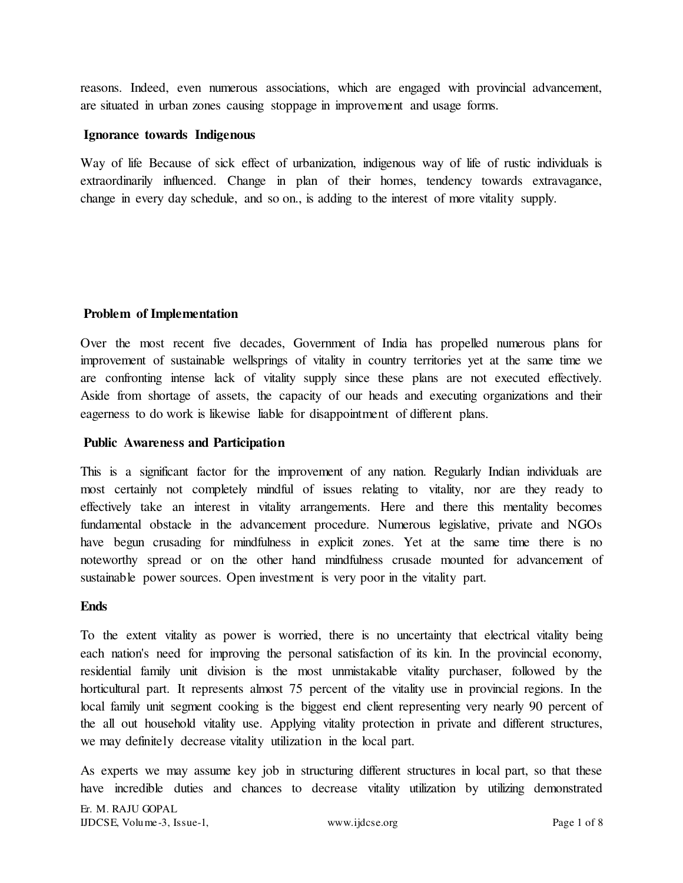reasons. Indeed, even numerous associations, which are engaged with provincial advancement, are situated in urban zones causing stoppage in improvement and usage forms.

### **Ignorance towards Indigenous**

Way of life Because of sick effect of urbanization, indigenous way of life of rustic individuals is extraordinarily influenced. Change in plan of their homes, tendency towards extravagance, change in every day schedule, and so on., is adding to the interest of more vitality supply.

## **Problem of Implementation**

Over the most recent five decades, Government of India has propelled numerous plans for improvement of sustainable wellsprings of vitality in country territories yet at the same time we are confronting intense lack of vitality supply since these plans are not executed effectively. Aside from shortage of assets, the capacity of our heads and executing organizations and their eagerness to do work is likewise liable for disappointment of different plans.

## **Public Awareness and Participation**

This is a significant factor for the improvement of any nation. Regularly Indian individuals are most certainly not completely mindful of issues relating to vitality, nor are they ready to effectively take an interest in vitality arrangements. Here and there this mentality becomes fundamental obstacle in the advancement procedure. Numerous legislative, private and NGOs have begun crusading for mindfulness in explicit zones. Yet at the same time there is no noteworthy spread or on the other hand mindfulness crusade mounted for advancement of sustainable power sources. Open investment is very poor in the vitality part.

### **Ends**

To the extent vitality as power is worried, there is no uncertainty that electrical vitality being each nation's need for improving the personal satisfaction of its kin. In the provincial economy, residential family unit division is the most unmistakable vitality purchaser, followed by the horticultural part. It represents almost 75 percent of the vitality use in provincial regions. In the local family unit segment cooking is the biggest end client representing very nearly 90 percent of the all out household vitality use. Applying vitality protection in private and different structures, we may definitely decrease vitality utilization in the local part.

As experts we may assume key job in structuring different structures in local part, so that these have incredible duties and chances to decrease vitality utilization by utilizing demonstrated

Er. M. RAJU GOPAL IJDCSE, Volume-3, Issue-1, www.ijdcse.org Page 1 of 8